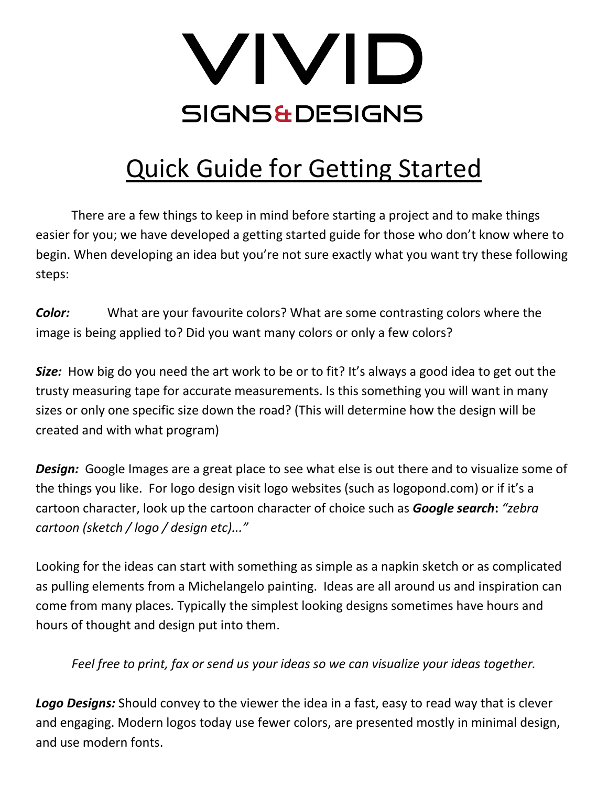

## Quick Guide for Getting Started

There are a few things to keep in mind before starting a project and to make things easier for you; we have developed a getting started guide for those who don't know where to begin. When developing an idea but you're not sure exactly what you want try these following steps:

*Color:* What are your favourite colors? What are some contrasting colors where the image is being applied to? Did you want many colors or only a few colors?

*Size:* How big do you need the art work to be or to fit? It's always a good idea to get out the trusty measuring tape for accurate measurements. Is this something you will want in many sizes or only one specific size down the road? (This will determine how the design will be created and with what program)

**Design:** Google Images are a great place to see what else is out there and to visualize some of the things you like. For logo design visit logo websites (such as logopond.com) or if it's a cartoon character, look up the cartoon character of choice such as *Google search***:** *"zebra cartoon (sketch / logo / design etc)..."*

Looking for the ideas can start with something as simple as a napkin sketch or as complicated as pulling elements from a Michelangelo painting. Ideas are all around us and inspiration can come from many places. Typically the simplest looking designs sometimes have hours and hours of thought and design put into them.

*Feel free to print, fax or send us your ideas so we can visualize your ideas together.*

*Logo Designs:* Should convey to the viewer the idea in a fast, easy to read way that is clever and engaging. Modern logos today use fewer colors, are presented mostly in minimal design, and use modern fonts.